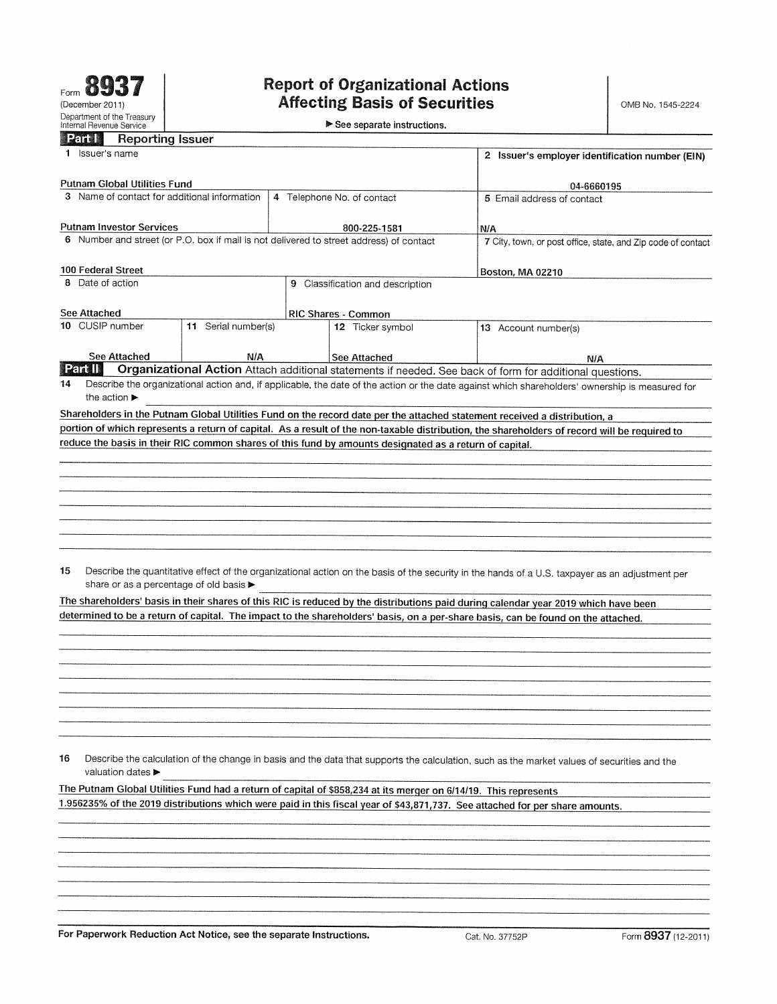## $F_{\text{form}}$  **8937** Report of Organizational Actions  $\phi$  (December 2011)  $\phi$  **Affecting Basis of Securities**

|  |  |  | See separate instructions. |
|--|--|--|----------------------------|
|--|--|--|----------------------------|

## **Part | Reporting Issuer**

| 8. LES<br>nepurung issuer                     |                     |                                                                                                                 |                                                                                                                                                                                                                                                                                                                                                                                                                              |
|-----------------------------------------------|---------------------|-----------------------------------------------------------------------------------------------------------------|------------------------------------------------------------------------------------------------------------------------------------------------------------------------------------------------------------------------------------------------------------------------------------------------------------------------------------------------------------------------------------------------------------------------------|
| 1 Issuer's name                               |                     | 2 Issuer's employer identification number (EIN)                                                                 |                                                                                                                                                                                                                                                                                                                                                                                                                              |
| Putnam Global Utilities Fund                  |                     | 04-6660195                                                                                                      |                                                                                                                                                                                                                                                                                                                                                                                                                              |
| 3 Name of contact for additional information  |                     | 4 Telephone No. of contact                                                                                      | 5 Email address of contact                                                                                                                                                                                                                                                                                                                                                                                                   |
| <b>Putnam Investor Services</b>               |                     | 800-225-1581                                                                                                    | N/A                                                                                                                                                                                                                                                                                                                                                                                                                          |
|                                               |                     | 6 Number and street (or P.O. box if mail is not delivered to street address) of contact                         | 7 City, town, or post office, state, and Zip code of contact                                                                                                                                                                                                                                                                                                                                                                 |
|                                               |                     |                                                                                                                 |                                                                                                                                                                                                                                                                                                                                                                                                                              |
| 100 Federal Street                            |                     |                                                                                                                 | Boston, MA 02210                                                                                                                                                                                                                                                                                                                                                                                                             |
| 8 Date of action                              |                     | 9 Classification and description                                                                                |                                                                                                                                                                                                                                                                                                                                                                                                                              |
| See Attached                                  |                     | <b>RIC Shares - Common</b>                                                                                      |                                                                                                                                                                                                                                                                                                                                                                                                                              |
| 10 CUSIP number                               | 11 Serial number(s) | 12 Ticker symbol                                                                                                | 13 Account number(s)                                                                                                                                                                                                                                                                                                                                                                                                         |
| See Attached                                  | N/A                 | See Attached                                                                                                    | <b>N/A</b>                                                                                                                                                                                                                                                                                                                                                                                                                   |
| Partill                                       |                     |                                                                                                                 | Organizational Action Attach additional statements if needed. See back of form for additional questions.                                                                                                                                                                                                                                                                                                                     |
| the action $\blacktriangleright$              |                     |                                                                                                                 | Describe the organizational action and, if applicable, the date of the action or the date against which shareholders' ownership is measured for<br>Shareholders in the Putnam Global Utilities Fund on the record date per the attached statement received a distribution, a<br>portion of which represents a return of capital. As a result of the non-taxable distribution, the shareholders of record will be required to |
|                                               |                     | reduce the basis in their RIC common shares of this fund by amounts designated as a return of capital.          |                                                                                                                                                                                                                                                                                                                                                                                                                              |
|                                               |                     |                                                                                                                 |                                                                                                                                                                                                                                                                                                                                                                                                                              |
|                                               |                     |                                                                                                                 |                                                                                                                                                                                                                                                                                                                                                                                                                              |
|                                               |                     |                                                                                                                 |                                                                                                                                                                                                                                                                                                                                                                                                                              |
|                                               |                     |                                                                                                                 |                                                                                                                                                                                                                                                                                                                                                                                                                              |
|                                               |                     |                                                                                                                 |                                                                                                                                                                                                                                                                                                                                                                                                                              |
|                                               |                     |                                                                                                                 |                                                                                                                                                                                                                                                                                                                                                                                                                              |
|                                               |                     |                                                                                                                 |                                                                                                                                                                                                                                                                                                                                                                                                                              |
|                                               |                     |                                                                                                                 |                                                                                                                                                                                                                                                                                                                                                                                                                              |
| 15<br>share or as a percentage of old basis ▶ |                     |                                                                                                                 | Describe the quantitative effect of the organizational action on the basis of the security in the hands of a U.S. taxpayer as an adjustment per                                                                                                                                                                                                                                                                              |
|                                               |                     |                                                                                                                 | The shareholders' basis in their shares of this RIC is reduced by the distributions paid during calendar year 2019 which have been                                                                                                                                                                                                                                                                                           |
|                                               |                     |                                                                                                                 | determined to be a return of capital. The impact to the shareholders' basis, on a per-share basis, can be found on the attached.                                                                                                                                                                                                                                                                                             |
|                                               |                     |                                                                                                                 |                                                                                                                                                                                                                                                                                                                                                                                                                              |
|                                               |                     |                                                                                                                 |                                                                                                                                                                                                                                                                                                                                                                                                                              |
|                                               |                     |                                                                                                                 |                                                                                                                                                                                                                                                                                                                                                                                                                              |
|                                               |                     |                                                                                                                 |                                                                                                                                                                                                                                                                                                                                                                                                                              |
|                                               |                     |                                                                                                                 |                                                                                                                                                                                                                                                                                                                                                                                                                              |
|                                               |                     |                                                                                                                 |                                                                                                                                                                                                                                                                                                                                                                                                                              |
|                                               |                     |                                                                                                                 |                                                                                                                                                                                                                                                                                                                                                                                                                              |
|                                               |                     |                                                                                                                 |                                                                                                                                                                                                                                                                                                                                                                                                                              |
|                                               |                     |                                                                                                                 |                                                                                                                                                                                                                                                                                                                                                                                                                              |
| 16<br>valuation dates ▶                       |                     |                                                                                                                 | Describe the calculation of the change in basis and the data that supports the calculation, such as the market values of securities and the                                                                                                                                                                                                                                                                                  |
|                                               |                     |                                                                                                                 |                                                                                                                                                                                                                                                                                                                                                                                                                              |
|                                               |                     | The Putnam Global Utilities Fund had a return of capital of \$858,234 at its merger on 6/14/19. This represents |                                                                                                                                                                                                                                                                                                                                                                                                                              |
|                                               |                     |                                                                                                                 | 1.956235% of the 2019 distributions which were paid in this fiscal year of \$43,871,737. See attached for per share amounts.                                                                                                                                                                                                                                                                                                 |
|                                               |                     |                                                                                                                 |                                                                                                                                                                                                                                                                                                                                                                                                                              |
|                                               |                     |                                                                                                                 |                                                                                                                                                                                                                                                                                                                                                                                                                              |
|                                               |                     |                                                                                                                 |                                                                                                                                                                                                                                                                                                                                                                                                                              |
|                                               |                     |                                                                                                                 |                                                                                                                                                                                                                                                                                                                                                                                                                              |
|                                               |                     |                                                                                                                 |                                                                                                                                                                                                                                                                                                                                                                                                                              |
|                                               |                     |                                                                                                                 |                                                                                                                                                                                                                                                                                                                                                                                                                              |
|                                               |                     |                                                                                                                 |                                                                                                                                                                                                                                                                                                                                                                                                                              |
|                                               |                     |                                                                                                                 |                                                                                                                                                                                                                                                                                                                                                                                                                              |
|                                               |                     |                                                                                                                 |                                                                                                                                                                                                                                                                                                                                                                                                                              |

For Paperwork Reduction Act Notice, see the separate Instructions. Cat. No. 37752P Form 8937 (12-2011)